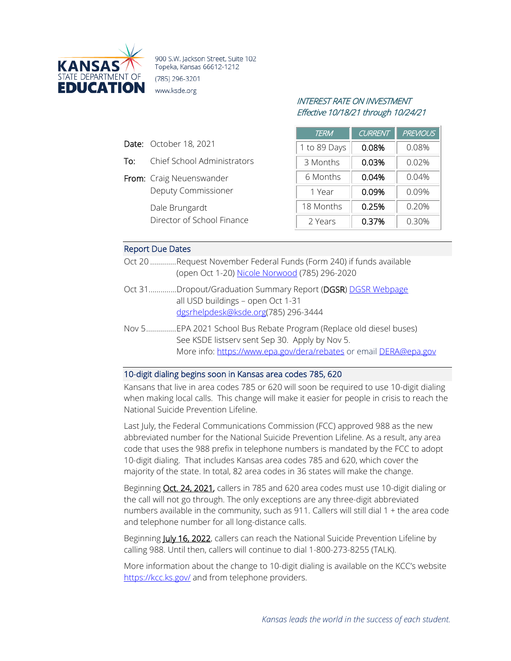

900 S.W. Jackson Street, Suite 102 Topeka, Kansas 66612-1212 (785) 296-3201 www.ksde.org

# INTEREST RATE ON INVESTMENT Effective 10/18/21 through 10/24/21

| <b>TERM</b>  | <b>CURRENT</b> | <b>PREVIOUS</b> |
|--------------|----------------|-----------------|
| 1 to 89 Days | 0.08%          | 0.08%           |
| 3 Months     | 0.03%          | $0.02\%$        |
| 6 Months     | 0.04%          | 0.04%           |
| 1 Year       | 0.09%          | 0.09%           |
| 18 Months    | 0.25%          | 0.20%           |
| 2 Years      | 0.37%          | 0.30%           |

#### Report Due Dates

Date: October 18, 2021

From: Craig Neuenswander

Dale Brungardt

To: Chief School Administrators

Deputy Commissioner

Director of School Finance

- Oct 20 .............Request November Federal Funds (Form 240) if funds available (open Oct 1-20) [Nicole Norwood](mailto:nnorwood@ksde.org) (785) 296-2020
- Oct 31..............Dropout/Graduation Summary Report (DGSR[\) DGSR Webpage](https://www.ksde.org/Agency/Division-of-Learning-Services/Career-Standards-and-Assessment-Services/CSAS-Home/Graduation-and-Schools-of-Choice/Dropout-Graduation-Summary-Report-DGSR) all USD buildings – open Oct 1-31 [dgsrhelpdesk@ksde.org\(](mailto:dgsrhelpdesk@ksde.org)785) 296-3444
- Nov 5...............EPA 2021 School Bus Rebate Program (Replace old diesel buses) See KSDE listserv sent Sep 30. Apply by Nov 5. More info:<https://www.epa.gov/dera/rebates> or email DERA@epa.gov

#### 10-digit dialing begins soon in Kansas area codes 785, 620

Kansans that live in area codes 785 or 620 will soon be required to use 10-digit dialing when making local calls. This change will make it easier for people in crisis to reach the National Suicide Prevention Lifeline.

Last July, the Federal Communications Commission (FCC) approved 988 as the new abbreviated number for the National Suicide Prevention Lifeline. As a result, any area code that uses the 988 prefix in telephone numbers is mandated by the FCC to adopt 10-digit dialing. That includes Kansas area codes 785 and 620, which cover the majority of the state. In total, 82 area codes in 36 states will make the change.

Beginning Oct. 24, 2021, callers in 785 and 620 area codes must use 10-digit dialing or the call will not go through. The only exceptions are any three-digit abbreviated numbers available in the community, such as 911. Callers will still dial 1 + the area code and telephone number for all long-distance calls.

Beginning July 16, 2022, callers can reach the National Suicide Prevention Lifeline by calling 988. Until then, callers will continue to dial 1-800-273-8255 (TALK).

More information about the change to 10-digit dialing is available on the KCC's website <https://kcc.ks.gov/> and from telephone providers.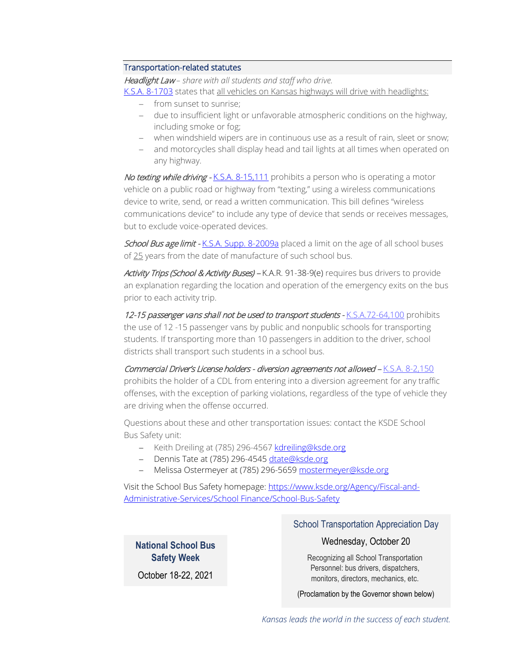## Transportation-related statutes

Headlight Law *– share with all students and staff who drive.*

[K.S.A. 8-1703](http://ksrevisor.org/statutes/chapters/ch08/008_017_0003.html) states that all vehicles on Kansas highways will drive with headlights:

- − from sunset to sunrise;
- − due to insufficient light or unfavorable atmospheric conditions on the highway, including smoke or fog;
- − when windshield wipers are in continuous use as a result of rain, sleet or snow;
- − and motorcycles shall display head and tail lights at all times when operated on any highway.

No texting while driving - [K.S.A. 8-15,111](http://ksrevisor.org/statutes/chapters/ch08/008_015_0111.html) prohibits a person who is operating a motor vehicle on a public road or highway from "texting," using a wireless communications device to write, send, or read a written communication. This bill defines "wireless communications device" to include any type of device that sends or receives messages, but to exclude voice-operated devices.

School Bus age limit - [K.S.A. Supp. 8-2009a](http://ksrevisor.org/statutes/chapters/ch08/008_020_0009a.html) placed a limit on the age of all school buses of 25 years from the date of manufacture of such school bus.

Activity Trips (School & Activity Buses) - K.A.R. 91-38-9(e) requires bus drivers to provide an explanation regarding the location and operation of the emergency exits on the bus prior to each activity trip.

12-15 passenger vans shall not be used to transport students - [K.S.A.72-64,100](http://ksrevisor.org/statutes/chapters/ch72/072_064_0100.html) prohibits the use of 12 -15 passenger vans by public and nonpublic schools for transporting students. If transporting more than 10 passengers in addition to the driver, school districts shall transport such students in a school bus.

Commercial Driver's License holders - diversion agreements not allowed - [K.S.A. 8-2,150](http://ksrevisor.org/statutes/chapters/ch08/008_002_0150.html) prohibits the holder of a CDL from entering into a diversion agreement for any traffic offenses, with the exception of parking violations, regardless of the type of vehicle they are driving when the offense occurred.

Questions about these and other transportation issues: contact the KSDE School Bus Safety unit:

- − Keith Dreiling at (785) 296-4567 [kdreiling@ksde.org](mailto:kdreiling@ksde.org)
- − Dennis Tate at (785) 296-4545 [dtate@ksde.org](mailto:dtate@ksde.org)
- − Melissa Ostermeyer at (785) 296-5659 [mostermeyer@ksde.org](mailto:mostermeyer@ksde.org)

Visit the School Bus Safety homepage[: https://www.ksde.org/Agency/Fiscal-and-](https://www.ksde.org/Agency/Fiscal-and-Administrative-Services/School%20Finance/School-Bus-Safety)[Administrative-Services/School Finance/School-Bus-Safety](https://www.ksde.org/Agency/Fiscal-and-Administrative-Services/School%20Finance/School-Bus-Safety)

**National School Bus Safety Week**

October 18-22, 2021

# School Transportation Appreciation Day

# Wednesday, October 20

Recognizing all School Transportation Personnel: bus drivers, dispatchers, monitors, directors, mechanics, etc.

(Proclamation by the Governor shown below)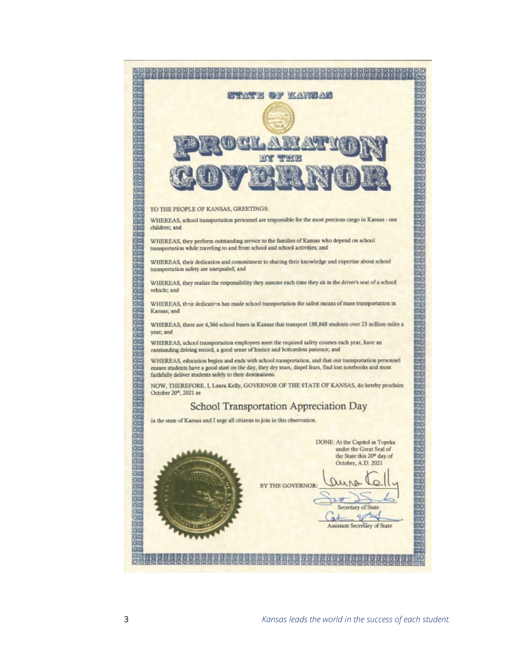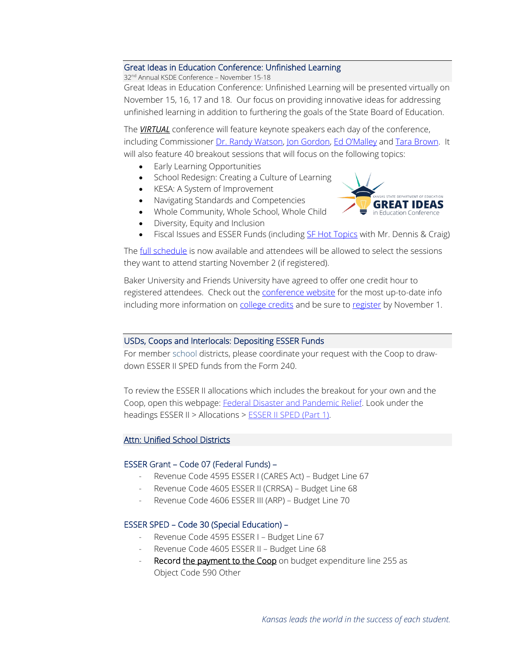### Great Ideas in Education Conference: Unfinished Learning

32nd Annual KSDE Conference – November 15-18

Great Ideas in Education Conference: Unfinished Learning will be presented virtually on November 15, 16, 17 and 18. Our focus on providing innovative ideas for addressing unfinished learning in addition to furthering the goals of the State Board of Education.

The *VIRTUAL* conference will feature keynote speakers each day of the conference, including Commissioner [Dr. Randy Watson,](https://www.ksde.org/Agency/Office-of-the-Commissioner) [Jon Gordon,](http://jongordon.com/about-jon/) [Ed O'Malley](https://kansasleadershipcenter.org/team/ed-omalley/) and [Tara Brown.](https://theconnectioncoach.org/experience) It will also feature 40 breakout sessions that will focus on the following topics:

- Early Learning Opportunities
- School Redesign: Creating a Culture of Learning
- KESA: A System of Improvement
- Navigating Standards and Competencies
- Whole Community, Whole School, Whole Child



- Diversity, Equity and Inclusion
- Fiscal Issues and ESSER Funds (including [SF Hot Topics](https://ksdegreatideasineducation2021.sched.com/event/ojfz/hot-topics-in-school-finance) with Mr. Dennis & Craig)

Th[e full schedule](https://ksdegreatideasineducation2021.sched.com/) is now available and attendees will be allowed to select the sessions they want to attend starting November 2 (if registered).

Baker University and Friends University have agreed to offer one credit hour to registered attendees. Check out the [conference website](https://events.ksde.org/Default.aspx?tabid=771) for the most up-to-date info including more information on [college credits](https://events.ksde.org/Default.aspx?tabid=846) and be sure to [register](https://events.ksde.org/Default.aspx?tabid=771) by November 1.

### USDs, Coops and Interlocals: Depositing ESSER Funds

For member school districts, please coordinate your request with the Coop to drawdown ESSER II SPED funds from the Form 240.

To review the ESSER II allocations which includes the breakout for your own and the Coop, open this webpage: [Federal Disaster and Pandemic Relief.](https://www.ksde.org/Agency/Division-of-Learning-Services/Special-Education-and-Title-Services/Federal-Disaster-and-Pandemic-Relief) Look under the headings ESSER II > Allocations [> ESSER II SPED \(Part 1\).](https://www.ksde.org/Portals/0/ECSETS/Announcements/ESSERII-SPEDAllocationFY2022-1.pdf)

# Attn: Unified School Districts

### ESSER Grant – Code 07 (Federal Funds) –

- Revenue Code 4595 ESSER I (CARES Act) Budget Line 67
- Revenue Code 4605 ESSER II (CRRSA) Budget Line 68
- Revenue Code 4606 ESSER III (ARP) Budget Line 70

### ESSER SPED – Code 30 (Special Education) –

- Revenue Code 4595 ESSER I Budget Line 67
- Revenue Code 4605 ESSER II Budget Line 68
- Record the payment to the Coop on budget expenditure line 255 as Object Code 590 Other